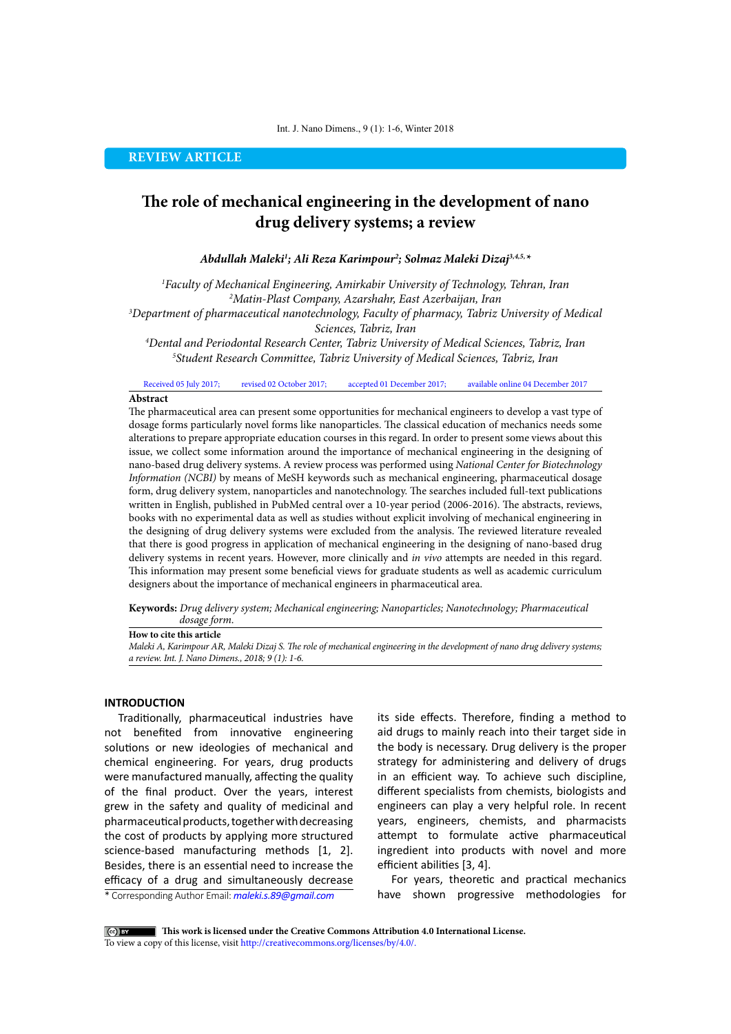**REVIEW ARTICLE**

# **The role of mechanical engineering in the development of nano drug delivery systems; a review**

### *Abdullah Maleki1 ; Ali Reza Karimpour2 ; Solmaz Maleki Dizaj3,4,5,\**

*1 Faculty of Mechanical Engineering, Amirkabir University of Technology, Tehran, Iran 2 Matin-Plast Company, Azarshahr, East Azerbaijan, Iran*

*3 Department of pharmaceutical nanotechnology, Faculty of pharmacy, Tabriz University of Medical Sciences, Tabriz, Iran*

*4 Dental and Periodontal Research Center, Tabriz University of Medical Sciences, Tabriz, Iran 5 Student Research Committee, Tabriz University of Medical Sciences, Tabriz, Iran*

Received 05 July 2017; revised 02 October 2017; accepted 01 December 2017; available online 04 December 2017

### **Abstract**

The pharmaceutical area can present some opportunities for mechanical engineers to develop a vast type of dosage forms particularly novel forms like nanoparticles. The classical education of mechanics needs some alterations to prepare appropriate education courses in this regard. In order to present some views about this issue, we collect some information around the importance of mechanical engineering in the designing of nano-based drug delivery systems. A review process was performed using *National Center for Biotechnology Information (NCBI)* by means of MeSH keywords such as mechanical engineering, pharmaceutical dosage form, drug delivery system, nanoparticles and nanotechnology. The searches included full-text publications written in English, published in PubMed central over a 10-year period (2006-2016). The abstracts, reviews, books with no experimental data as well as studies without explicit involving of mechanical engineering in the designing of drug delivery systems were excluded from the analysis. The reviewed literature revealed that there is good progress in application of mechanical engineering in the designing of nano-based drug delivery systems in recent years. However, more clinically and *in vivo* attempts are needed in this regard. This information may present some beneficial views for graduate students as well as academic curriculum designers about the importance of mechanical engineers in pharmaceutical area.

**Keywords:** *Drug delivery system; Mechanical engineering; Nanoparticles; Nanotechnology; Pharmaceutical dosage form*.

**How to cite this article**

*Maleki A, Karimpour AR, Maleki Dizaj S. The role of mechanical engineering in the development of nano drug delivery systems; a review. Int. J. Nano Dimens., 2018; 9 (1): 1-6.* 

### **INTRODUCTION**

Traditionally, pharmaceutical industries have not benefited from innovative engineering solutions or new ideologies of mechanical and chemical engineering. For years, drug products were manufactured manually, affecting the quality of the final product. Over the years, interest grew in the safety and quality of medicinal and pharmaceutical products, together with decreasing the cost of products by applying more structured science-based manufacturing methods [1, 2]. Besides, there is an essential need to increase the efficacy of a drug and simultaneously decrease

its side effects. Therefore, finding a method to aid drugs to mainly reach into their target side in the body is necessary. Drug delivery is the proper strategy for administering and delivery of drugs in an efficient way. To achieve such discipline, different specialists from chemists, biologists and engineers can play a very helpful role. In recent years, engineers, chemists, and pharmacists attempt to formulate active pharmaceutical ingredient into products with novel and more efficient abilities [3, 4].

For years, theoretic and practical mechanics have shown progressive methodologies for

\* Corresponding Author Email: *maleki.s.89@gmail.com*

 **This work is licensed under the Creative Commons Attribution 4.0 International License.** To view a copy of this license, visit<http://creativecommons.org/licenses/by/4.0/.>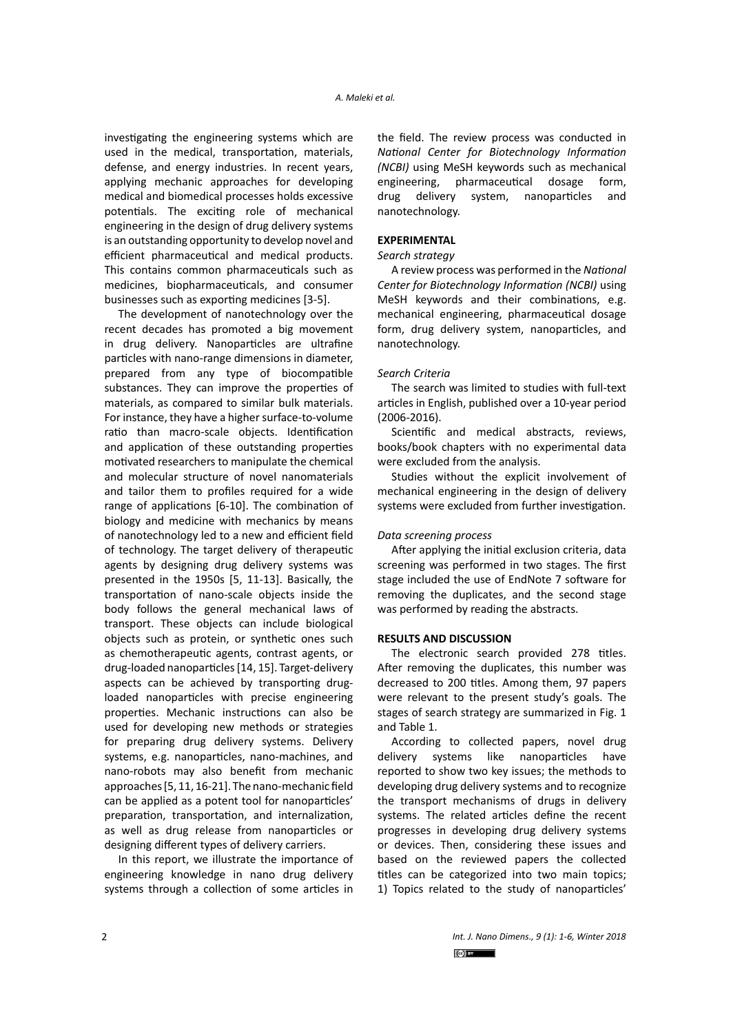investigating the engineering systems which are used in the medical, transportation, materials, defense, and energy industries. In recent years, applying mechanic approaches for developing medical and biomedical processes holds excessive potentials. The exciting role of mechanical engineering in the design of drug delivery systems is an outstanding opportunity to develop novel and efficient pharmaceutical and medical products. This contains common pharmaceuticals such as medicines, biopharmaceuticals, and consumer businesses such as exporting medicines [3-5].

The development of nanotechnology over the recent decades has promoted a big movement in drug delivery. Nanoparticles are ultrafine particles with nano-range dimensions in diameter, prepared from any type of biocompatible substances. They can improve the properties of materials, as compared to similar bulk materials. For instance, they have a higher surface-to-volume ratio than macro-scale objects. Identification and application of these outstanding properties motivated researchers to manipulate the chemical and molecular structure of novel nanomaterials and tailor them to profiles required for a wide range of applications [6-10]. The combination of biology and medicine with mechanics by means of nanotechnology led to a new and efficient field of technology. The target delivery of therapeutic agents by designing drug delivery systems was presented in the 1950s [5, 11-13]. Basically, the transportation of nano-scale objects inside the body follows the general mechanical laws of transport. These objects can include biological objects such as protein, or synthetic ones such as chemotherapeutic agents, contrast agents, or drug-loaded nanoparticles [14, 15]. Target-delivery aspects can be achieved by transporting drugloaded nanoparticles with precise engineering properties. Mechanic instructions can also be used for developing new methods or strategies for preparing drug delivery systems. Delivery systems, e.g. nanoparticles, nano-machines, and nano-robots may also benefit from mechanic approaches [5, 11, 16-21]. The nano-mechanic field can be applied as a potent tool for nanoparticles' preparation, transportation, and internalization, as well as drug release from nanoparticles or designing different types of delivery carriers.

In this report, we illustrate the importance of engineering knowledge in nano drug delivery systems through a collection of some articles in

the field. The review process was conducted in *National Center for Biotechnology Information (NCBI)* using MeSH keywords such as mechanical engineering, pharmaceutical dosage form, drug delivery system, nanoparticles and nanotechnology.

## **EXPERIMENTAL**

### *Search strategy*

A review process was performed in the *National Center for Biotechnology Information (NCBI)* using MeSH keywords and their combinations, e.g. mechanical engineering, pharmaceutical dosage form, drug delivery system, nanoparticles, and nanotechnology.

### *Search Criteria*

The search was limited to studies with full-text articles in English, published over a 10-year period (2006-2016).

Scientific and medical abstracts, reviews, books/book chapters with no experimental data were excluded from the analysis.

Studies without the explicit involvement of mechanical engineering in the design of delivery systems were excluded from further investigation.

### *Data screening process*

After applying the initial exclusion criteria, data screening was performed in two stages. The first stage included the use of EndNote 7 software for removing the duplicates, and the second stage was performed by reading the abstracts.

### **RESULTS AND DISCUSSION**

The electronic search provided 278 titles. After removing the duplicates, this number was decreased to 200 titles. Among them, 97 papers were relevant to the present study's goals. The stages of search strategy are summarized in Fig. 1 and Table 1.

According to collected papers, novel drug delivery systems like nanoparticles have reported to show two key issues; the methods to developing drug delivery systems and to recognize the transport mechanisms of drugs in delivery systems. The related articles define the recent progresses in developing drug delivery systems or devices. Then, considering these issues and based on the reviewed papers the collected titles can be categorized into two main topics; 1) Topics related to the study of nanoparticles'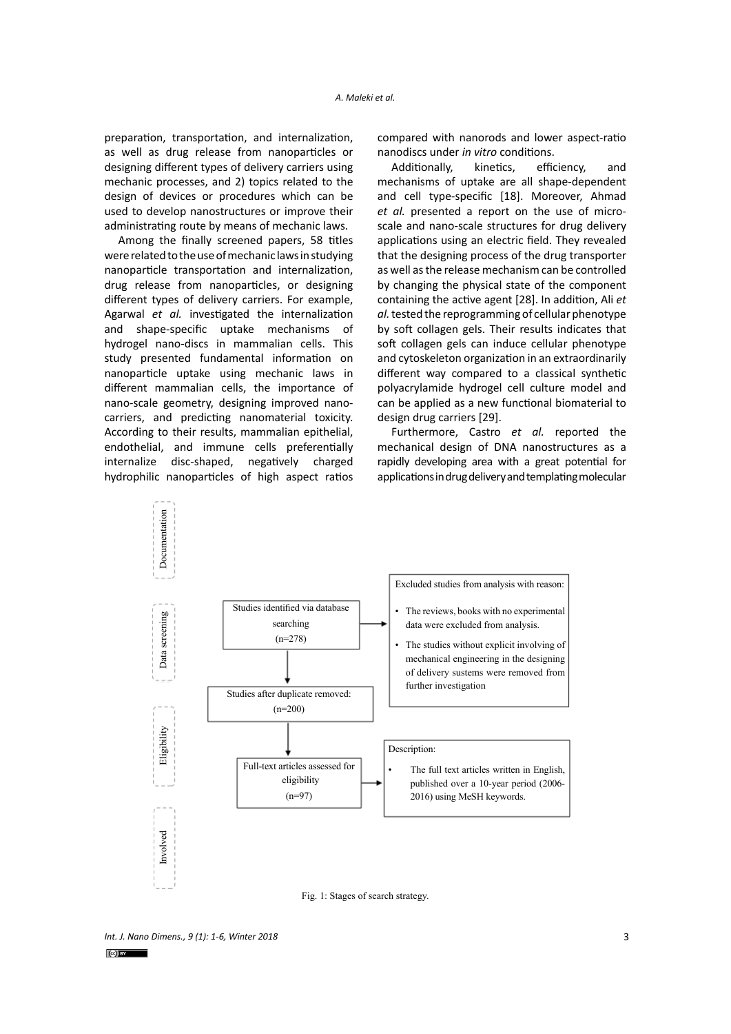preparation, transportation, and internalization, as well as drug release from nanoparticles or designing different types of delivery carriers using mechanic processes, and 2) topics related to the design of devices or procedures which can be used to develop nanostructures or improve their administrating route by means of mechanic laws.

Among the finally screened papers, 58 titles were related to the use of mechanic laws in studying nanoparticle transportation and internalization, drug release from nanoparticles, or designing different types of delivery carriers. For example, Agarwal *et al.* investigated the internalization and shape-specific uptake mechanisms of hydrogel nano-discs in mammalian cells. This study presented fundamental information on nanoparticle uptake using mechanic laws in different mammalian cells, the importance of nano-scale geometry, designing improved nanocarriers, and predicting nanomaterial toxicity. According to their results, mammalian epithelial, endothelial, and immune cells preferentially internalize disc-shaped, negatively charged hydrophilic nanoparticles of high aspect ratios

compared with nanorods and lower aspect-ratio nanodiscs under *in vitro* conditions.

Additionally, kinetics, efficiency, and mechanisms of uptake are all shape-dependent and cell type-specific [18]. Moreover, Ahmad *et al.* presented a report on the use of microscale and nano-scale structures for drug delivery applications using an electric field. They revealed that the designing process of the drug transporter as well as the release mechanism can be controlled by changing the physical state of the component containing the active agent [28]. In addition, Ali *et al.* tested the reprogramming of cellular phenotype by soft collagen gels. Their results indicates that soft collagen gels can induce cellular phenotype and cytoskeleton organization in an extraordinarily different way compared to a classical synthetic polyacrylamide hydrogel cell culture model and can be applied as a new functional biomaterial to design drug carriers [29].

Furthermore, Castro *et al.* reported the mechanical design of DNA nanostructures as a rapidly developing area with a great potential for applications in drug delivery and templating molecular



*Int. J. Nano Dimens., 9 (1): 1-6, Winter 2018* 3  $(c)$  BY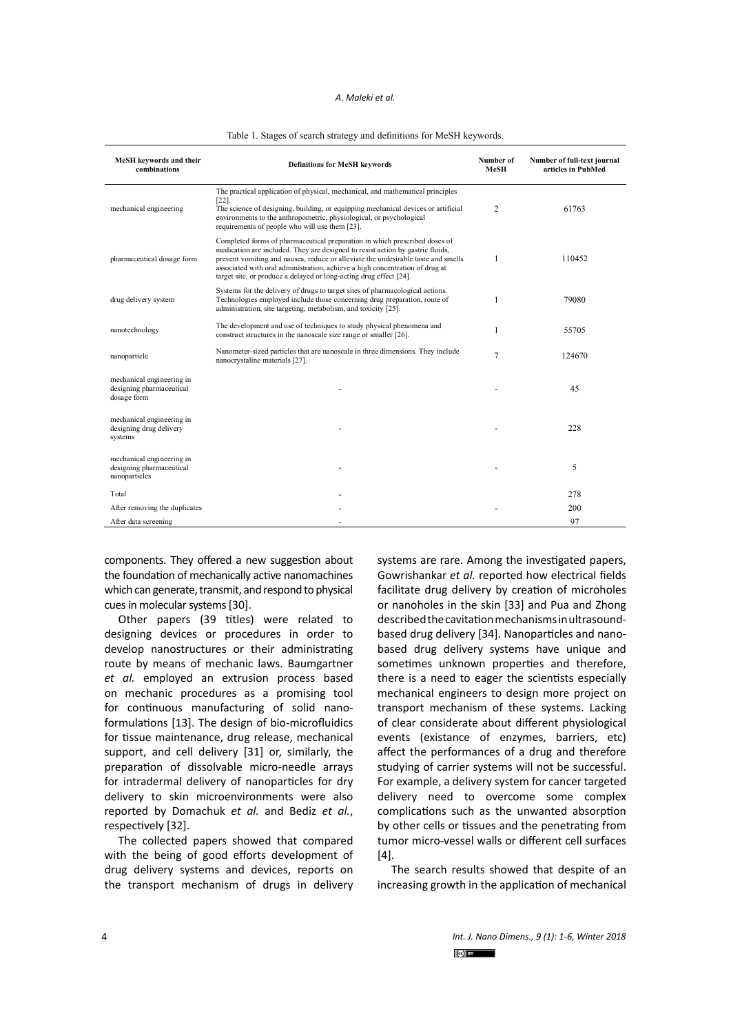#### *A. Maleki et al.*

#### Table 1. Stages of search strategy and definitions for MeSH keywords.

| MeSH keywords and their<br>combinations                                | <b>Definitions for MeSH keywords</b>                                                                                                                                                                                                                                                                                                                                                                    | Number of<br>MeSH | Number of full-text journal<br>articles in PubMed |
|------------------------------------------------------------------------|---------------------------------------------------------------------------------------------------------------------------------------------------------------------------------------------------------------------------------------------------------------------------------------------------------------------------------------------------------------------------------------------------------|-------------------|---------------------------------------------------|
| mechanical engineering                                                 | The practical application of physical, mechanical, and mathematical principles<br>$[22]$ .<br>The science of designing, building, or equipping mechanical devices or artificial<br>environments to the anthropometric, physiological, or psychological<br>requirements of people who will use them [23].                                                                                                | 2                 | 61763                                             |
| pharmaceutical dosage form                                             | Completed forms of pharmaceutical preparation in which prescribed doses of<br>medication are included. They are designed to resist action by gastric fluids,<br>prevent vomiting and nausea, reduce or alleviate the undesirable taste and smells<br>associated with oral administration, achieve a high concentration of drug at<br>target site, or produce a delayed or long-acting drug effect [24]. | 1                 | 110452                                            |
| drug delivery system                                                   | Systems for the delivery of drugs to target sites of pharmacological actions.<br>Technologies employed include those concerning drug preparation, route of<br>administration, site targeting, metabolism, and toxicity [25].                                                                                                                                                                            | 1                 | 79080                                             |
| nanotechnology                                                         | The development and use of techniques to study physical phenomena and<br>construct structures in the nanoscale size range or smaller [26].                                                                                                                                                                                                                                                              | 1                 | 55705                                             |
| nanoparticle                                                           | Nanometer-sized particles that are nanoscale in three dimensions. They include<br>nanocrystaline materials [27].                                                                                                                                                                                                                                                                                        | $\overline{7}$    | 124670                                            |
| mechanical engineering in<br>designing pharmaceutical<br>dosage form   |                                                                                                                                                                                                                                                                                                                                                                                                         |                   | 45                                                |
| mechanical engineering in<br>designing drug delivery<br>systems        |                                                                                                                                                                                                                                                                                                                                                                                                         |                   | 228                                               |
| mechanical engineering in<br>designing pharmaceutical<br>nanoparticles |                                                                                                                                                                                                                                                                                                                                                                                                         |                   | 5                                                 |
| Total                                                                  |                                                                                                                                                                                                                                                                                                                                                                                                         |                   | 278                                               |
| After removing the duplicates                                          |                                                                                                                                                                                                                                                                                                                                                                                                         |                   | 200                                               |
| After data screening                                                   |                                                                                                                                                                                                                                                                                                                                                                                                         |                   | 97                                                |

components. They offered a new suggestion about the foundation of mechanically active nanomachines which can generate, transmit, and respond to physical cues in molecular systems [30].

Other papers (39 titles) were related to designing devices or procedures in order to develop nanostructures or their administrating route by means of mechanic laws. Baumgartner *et al.* employed an extrusion process based on mechanic procedures as a promising tool for continuous manufacturing of solid nanoformulations [13]. The design of bio-microfluidics for tissue maintenance, drug release, mechanical support, and cell delivery [31] or, similarly, the preparation of dissolvable micro-needle arrays for intradermal delivery of nanoparticles for dry delivery to skin microenvironments were also reported by Domachuk *et al.* and Bediz *et al.*, respectively [32].

The collected papers showed that compared with the being of good efforts development of drug delivery systems and devices, reports on the transport mechanism of drugs in delivery

systems are rare. Among the investigated papers, Gowrishankar *et al.* reported how electrical fields facilitate drug delivery by creation of microholes or nanoholes in the skin [33] and Pua and Zhong described the cavitation mechanisms in ultrasoundbased drug delivery [34]. Nanoparticles and nanobased drug delivery systems have unique and sometimes unknown properties and therefore, there is a need to eager the scientists especially mechanical engineers to design more project on transport mechanism of these systems. Lacking of clear considerate about different physiological events (existance of enzymes, barriers, etc) affect the performances of a drug and therefore studying of carrier systems will not be successful. For example, a delivery system for cancer targeted delivery need to overcome some complex complications such as the unwanted absorption by other cells or tissues and the penetrating from tumor micro-vessel walls or different cell surfaces [4].

The search results showed that despite of an increasing growth in the application of mechanical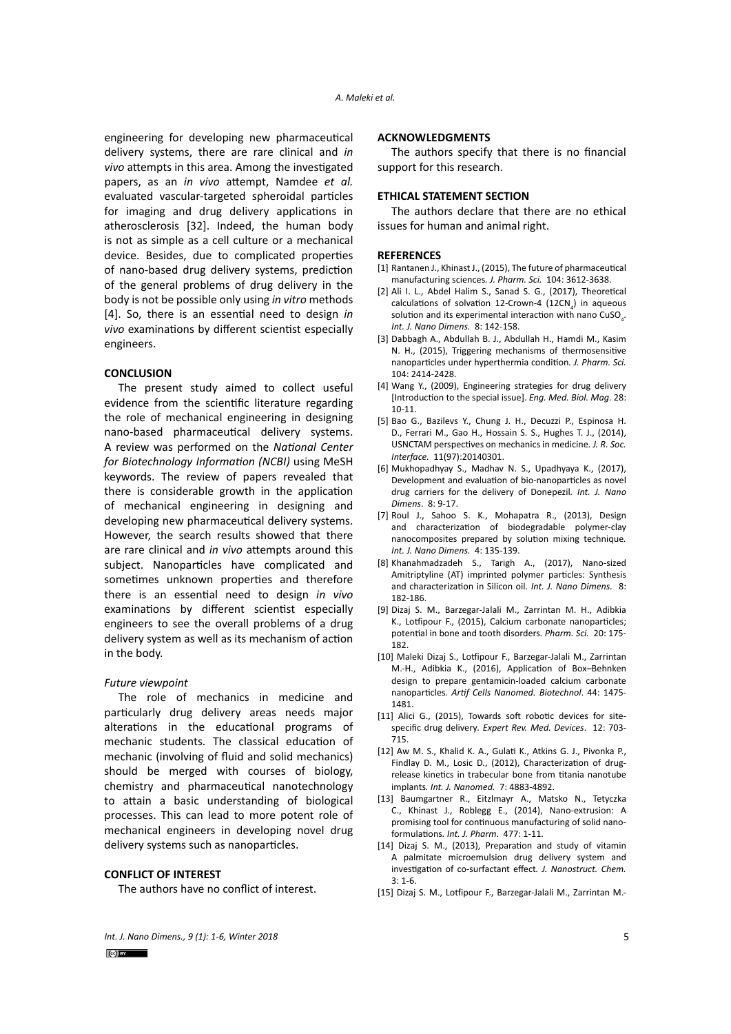engineering for developing new pharmaceutical delivery systems, there are rare clinical and *in vivo* attempts in this area. Among the investigated papers, as an *in vivo* attempt, Namdee *et al.* evaluated vascular-targeted spheroidal particles for imaging and drug delivery applications in atherosclerosis [32]. Indeed, the human body is not as simple as a cell culture or a mechanical device. Besides, due to complicated properties of nano-based drug delivery systems, prediction of the general problems of drug delivery in the body is not be possible only using *in vitro* methods [4]. So, there is an essential need to design *in vivo* examinations by different scientist especially engineers.

### **CONCLUSION**

The present study aimed to collect useful evidence from the scientific literature regarding the role of mechanical engineering in designing nano-based pharmaceutical delivery systems. A review was performed on the *National Center for Biotechnology Information (NCBI)* using MeSH keywords. The review of papers revealed that there is considerable growth in the application of mechanical engineering in designing and developing new pharmaceutical delivery systems. However, the search results showed that there are rare clinical and *in vivo* attempts around this subject. Nanoparticles have complicated and sometimes unknown properties and therefore there is an essential need to design *in vivo* examinations by different scientist especially engineers to see the overall problems of a drug delivery system as well as its mechanism of action in the body.

### *Future viewpoint*

The role of mechanics in medicine and particularly drug delivery areas needs major alterations in the educational programs of mechanic students. The classical education of mechanic (involving of fluid and solid mechanics) should be merged with courses of biology, chemistry and pharmaceutical nanotechnology to attain a basic understanding of biological processes. This can lead to more potent role of mechanical engineers in developing novel drug delivery systems such as nanoparticles.

### **CONFLICT OF INTEREST**

The authors have no conflict of interest.

### **ACKNOWLEDGMENTS**

The authors specify that there is no financial support for this research.

### **ETHICAL STATEMENT SECTION**

The authors declare that there are no ethical issues for human and animal right.

#### **REFERENCES**

- [1] Rantanen J., Khinast J., (2015), The future of pharmaceutical manufacturing sciences*. J. Pharm. Sci.* 104: 3612-3638.
- [2] Ali I. L., Abdel Halim S., Sanad S. G., (2017), Theoretical calculations of solvation 12-Crown-4 (12CN<sub>4</sub>) in aqueous solution and its experimental interaction with nano CuSO<sub>4</sub>. *Int. J. Nano Dimens.* 8: 142-158.
- [3] Dabbagh A., Abdullah B. J., Abdullah H., Hamdi M., Kasim N. H., (2015), Triggering mechanisms of thermosensitive nanoparticles under hyperthermia condition*. J. Pharm. Sci.* 104: 2414-2428.
- [4] Wang Y., (2009), Engineering strategies for drug delivery [Introduction to the special issue]. *Eng. Med. Biol. Mag*. 28: 10-11.
- [5] Bao G., Bazilevs Y., Chung J. H., Decuzzi P., Espinosa H. D., Ferrari M., Gao H., Hossain S. S., Hughes T. J., (2014), USNCTAM perspectives on mechanics in medicine*. J. R. Soc. Interface.* 11(97):20140301.
- [6] Mukhopadhyay S., Madhav N. S., Upadhyaya K., (2017), Development and evaluation of bio-nanoparticles as novel drug carriers for the delivery of Donepezil*. Int. J. Nano Dimens*. 8: 9-17.
- [7] Roul J., Sahoo S. K., Mohapatra R., (2013), Design and characterization of biodegradable polymer-clay nanocomposites prepared by solution mixing technique*. Int. J. Nano Dimens.* 4: 135-139.
- [8] Khanahmadzadeh S., Tarigh A., (2017), Nano-sized Amitriptyline (AT) imprinted polymer particles: Synthesis and characterization in Silicon oil*. Int. J. Nano Dimens.* 8: 182-186.
- [9] Dizaj S. M., Barzegar-Jalali M., Zarrintan M. H., Adibkia K., Lotfipour F., (2015), Calcium carbonate nanoparticles; potential in bone and tooth disorders*. Pharm. Sci.* 20: 175- 182.
- [10] Maleki Dizaj S., Lotfipour F., Barzegar-Jalali M., Zarrintan M.-H., Adibkia K., (2016), Application of Box–Behnken design to prepare gentamicin-loaded calcium carbonate nanoparticles*. Artif Cells Nanomed. Biotechnol*. 44: 1475- 1481.
- [11] Alici G., (2015), Towards soft robotic devices for sitespecific drug delivery*. Expert Rev. Med. Devices*. 12: 703- 715.
- [12] Aw M. S., Khalid K. A., Gulati K., Atkins G. J., Pivonka P., Findlay D. M., Losic D., (2012), Characterization of drugrelease kinetics in trabecular bone from titania nanotube implants*. Int. J. Nanomed.* 7: 4883-4892.
- [13] Baumgartner R., Eitzlmayr A., Matsko N., Tetyczka C., Khinast J., Roblegg E., (2014), Nano-extrusion: A promising tool for continuous manufacturing of solid nanoformulations*. Int. J. Pharm*. 477: 1-11.
- [14] Dizaj S. M., (2013), Preparation and study of vitamin A palmitate microemulsion drug delivery system and investigation of co-surfactant effect*. J. Nanostruct. Chem.* 3: 1-6.
- [15] Dizaj S. M., Lotfipour F., Barzegar-Jalali M., Zarrintan M.-